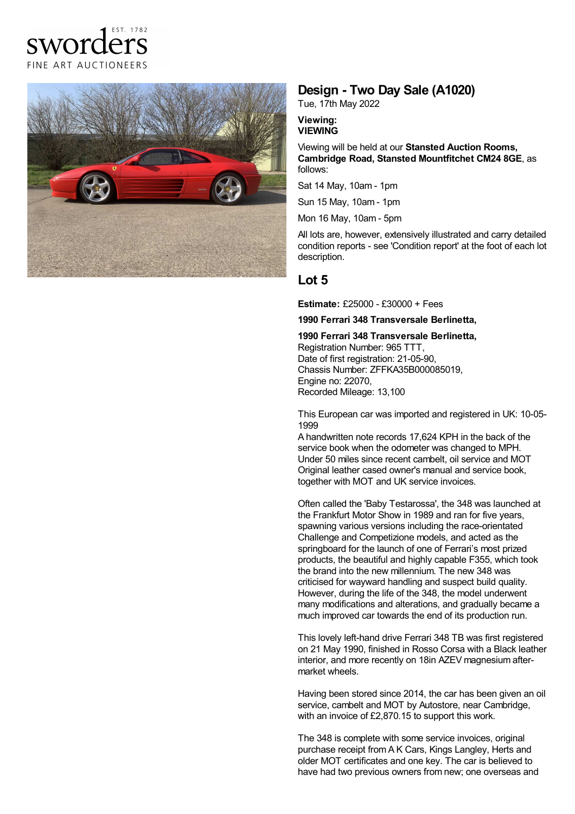



## **Design - Two Day Sale (A1020)**

Tue, 17th May 2022

#### **Viewing: VIEWING**

Viewing will be held at our **Stansted Auction Rooms, Cambridge Road, Stansted Mountfitchet CM24 8GE**, as follows:

Sat 14 May, 10am - 1pm

Sun 15 May, 10am - 1pm

Mon 16 May, 10am - 5pm

All lots are, however, extensively illustrated and carry detailed condition reports - see 'Condition report' at the foot of each lot description.

# **Lot 5**

**Estimate:** £25000 - £30000 + Fees

### **1990 Ferrari 348 Transversale Berlinetta,**

**1990 Ferrari 348 Transversale Berlinetta,** Registration Number: 965 TTT, Date of first registration: 21-05-90. Chassis Number: ZFFKA35B000085019, Engine no: 22070, Recorded Mileage: 13,100

This European car was imported and registered in UK: 10-05- 1999

A handwritten note records 17,624 KPH in the back of the service book when the odometer was changed to MPH. Under 50 miles since recent cambelt, oil service and MOT Original leather cased owner's manual and service book, together with MOT and UK service invoices.

Often called the 'Baby Testarossa', the 348 was launched at the Frankfurt Motor Show in 1989 and ran for five years, spawning various versions including the race-orientated Challenge and Competizione models, and acted as the springboard for the launch of one of Ferrari's most prized products, the beautiful and highly capable F355, which took the brand into the new millennium. The new 348 was criticised for wayward handling and suspect build quality. However, during the life of the 348, the model underwent many modifications and alterations, and gradually became a much improved car towards the end of its production run.

This lovely left-hand drive Ferrari 348 TB was first registered on 21 May 1990, finished in Rosso Corsa with a Black leather interior, and more recently on 18in AZEV magnesium after market wheels.

Having been stored since 2014, the car has been given an oil service, cambelt and MOT by Autostore, near Cambridge, with an invoice of £2,870.15 to support this work.

The 348 is complete with some service invoices, original purchase receipt from A K Cars, Kings Langley, Herts and older MOT certificates and one key. The car is believed to have had two previous owners from new; one overseas and